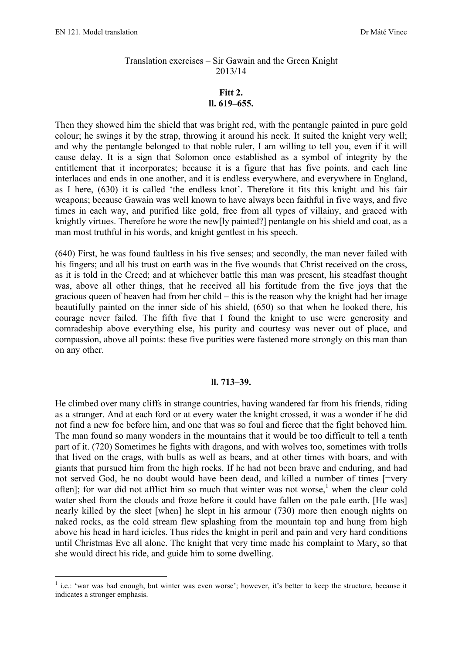## Translation exercises – Sir Gawain and the Green Knight 2013/14

## **Fitt 2. ll. 619–655.**

Then they showed him the shield that was bright red, with the pentangle painted in pure gold colour; he swings it by the strap, throwing it around his neck. It suited the knight very well; and why the pentangle belonged to that noble ruler, I am willing to tell you, even if it will cause delay. It is a sign that Solomon once established as a symbol of integrity by the entitlement that it incorporates; because it is a figure that has five points, and each line interlaces and ends in one another, and it is endless everywhere, and everywhere in England, as I here, (630) it is called 'the endless knot'. Therefore it fits this knight and his fair weapons; because Gawain was well known to have always been faithful in five ways, and five times in each way, and purified like gold, free from all types of villainy, and graced with knightly virtues. Therefore he wore the new[ly painted?] pentangle on his shield and coat, as a man most truthful in his words, and knight gentlest in his speech.

(640) First, he was found faultless in his five senses; and secondly, the man never failed with his fingers; and all his trust on earth was in the five wounds that Christ received on the cross, as it is told in the Creed; and at whichever battle this man was present, his steadfast thought was, above all other things, that he received all his fortitude from the five joys that the gracious queen of heaven had from her child – this is the reason why the knight had her image beautifully painted on the inner side of his shield, (650) so that when he looked there, his courage never failed. The fifth five that I found the knight to use were generosity and comradeship above everything else, his purity and courtesy was never out of place, and compassion, above all points: these five purities were fastened more strongly on this man than on any other.

## **ll. 713–39.**

He climbed over many cliffs in strange countries, having wandered far from his friends, riding as a stranger. And at each ford or at every water the knight crossed, it was a wonder if he did not find a new foe before him, and one that was so foul and fierce that the fight behoved him. The man found so many wonders in the mountains that it would be too difficult to tell a tenth part of it. (720) Sometimes he fights with dragons, and with wolves too, sometimes with trolls that lived on the crags, with bulls as well as bears, and at other times with boars, and with giants that pursued him from the high rocks. If he had not been brave and enduring, and had not served God, he no doubt would have been dead, and killed a number of times [=very often]; for war did not afflict him so much that winter was not worse,<sup>1</sup> when the clear cold water shed from the clouds and froze before it could have fallen on the pale earth. [He was] nearly killed by the sleet [when] he slept in his armour (730) more then enough nights on naked rocks, as the cold stream flew splashing from the mountain top and hung from high above his head in hard icicles. Thus rides the knight in peril and pain and very hard conditions until Christmas Eve all alone. The knight that very time made his complaint to Mary, so that she would direct his ride, and guide him to some dwelling.

<sup>&</sup>lt;sup>1</sup> i.e.: 'war was bad enough, but winter was even worse'; however, it's better to keep the structure, because it indicates a stronger emphasis.